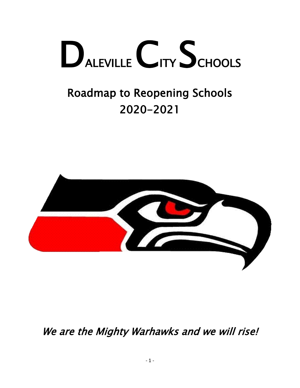# DALEVILLE CITY SCHOOLS

# Roadmap to Reopening Schools 2020-2021



We are the Mighty Warhawks and we will rise!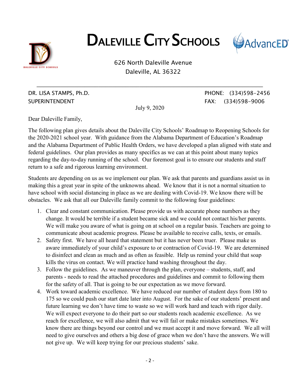

# DALEVILLE CITY SCHOOLS



626 North Daleville Avenue Daleville, AL 36322

SUPERINTENDENT FAX: (334)598-9006

July 9, 2020

**\_\_\_\_\_\_\_\_\_\_\_\_\_\_\_\_\_\_\_\_\_\_\_\_\_\_\_\_\_\_\_\_\_\_\_\_\_\_\_\_\_\_\_\_\_\_\_\_\_\_\_\_\_\_\_\_\_\_\_\_\_\_\_\_\_\_**

DR. LISA STAMPS, Ph.D. PHONE: (334)598-2456

Dear Daleville Family,

The following plan gives details about the Daleville City Schools' Roadmap to Reopening Schools for the 2020-2021 school year. With guidance from the Alabama Department of Education's Roadmap and the Alabama Department of Public Health Orders, we have developed a plan aligned with state and federal guidelines. Our plan provides as many specifics as we can at this point about many topics regarding the day-to-day running of the school. Our foremost goal is to ensure our students and staff return to a safe and rigorous learning environment.

Students are depending on us as we implement our plan. We ask that parents and guardians assist us in making this a great year in spite of the unknowns ahead. We know that it is not a normal situation to have school with social distancing in place as we are dealing with Covid-19. We know there will be obstacles. We ask that all our Daleville family commit to the following four guidelines:

- 1. Clear and constant communication. Please provide us with accurate phone numbers as they change. It would be terrible if a student became sick and we could not contact his/her parents. We will make you aware of what is going on at school on a regular basis. Teachers are going to communicate about academic progress. Please be available to receive calls, texts, or emails.
- 2. Safety first. We have all heard that statement but it has never been truer. Please make us aware immediately of your child's exposure to or contraction of Covid-19. We are determined to disinfect and clean as much and as often as feasible. Help us remind your child that soap kills the virus on contact. We will practice hand washing throughout the day.
- 3. Follow the guidelines. As we maneuver through the plan, everyone students, staff, and parents - needs to read the attached procedures and guidelines and commit to following them for the safety of all. That is going to be our expectation as we move forward.
- 4. Work toward academic excellence. We have reduced our number of student days from 180 to 175 so we could push our start date later into August. For the sake of our students' present and future learning we don't have time to waste so we will work hard and teach with rigor daily. We will expect everyone to do their part so our students reach academic excellence. As we reach for excellence, we will also admit that we will fail or make mistakes sometimes. We know there are things beyond our control and we must accept it and move forward. We all will need to give ourselves and others a big dose of grace when we don't have the answers. We will not give up. We will keep trying for our precious students' sake.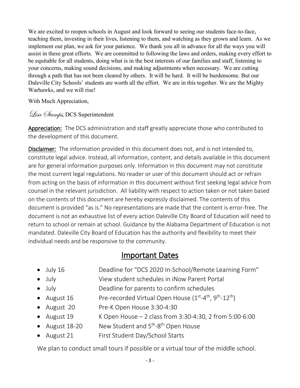We are excited to reopen schools in August and look forward to seeing our students face-to-face, teaching them, investing in their lives, listening to them, and watching as they grown and learn. As we implement our plan, we ask for your patience. We thank you all in advance for all the ways you will assist in these great efforts. We are committed to following the laws and orders, making every effort to be equitable for all students, doing what is in the best interests of our families and staff, listening to your concerns, making sound decisions, and making adjustments when necessary. We are cutting through a path that has not been cleared by others. It will be hard. It will be burdensome. But our Daleville City Schools' students are worth all the effort. We are in this together. We are the Mighty Warhawks, and we will rise!

With Much Appreciation,

Lisa *Stamps*, DCS Superintendent

Appreciation: The DCS administration and staff greatly appreciate those who contributed to the development of this document.

Disclaimer: The information provided in this document does not, and is not intended to, constitute legal advice. Instead, all information, content, and details available in this document are for general information purposes only. Information in this document may not constitute the most current legal regulations. No reader or user of this document should act or refrain from acting on the basis of information in this document without first seeking legal advice from counsel in the relevant jurisdiction. All liability with respect to action taken or not taken based on the contents of this document are hereby expressly disclaimed. The contents of this document is provided "as is." No representations are made that the content is error-free. The document is not an exhaustive list of every action Daleville City Board of Education will need to return to school or remain at school. Guidance by the Alabama Department of Education is not mandated. Daleville City Board of Education has the authority and flexibility to meet their individual needs and be responsive to the community.

### Important Dates

- July 16 Deadline for "DCS 2020 In-School/Remote Learning Form"
- July View student schedules in iNow Parent Portal
- July Deadline for parents to confirm schedules
- August 16 Pre-recorded Virtual Open House  $(1^{st} 4^{th}, 9^{th} 12^{th})$
- August 20 Pre-K Open House 3:30-4:30
- August 19  $\overline{K}$  Open House 2 class from 3:30-4:30, 2 from 5:00-6:00
- August 18-20 Mew Student and 5<sup>th</sup>-8<sup>th</sup> Open House
- August 21 First Student Day/School Starts

We plan to conduct small tours if possible or a virtual tour of the middle school.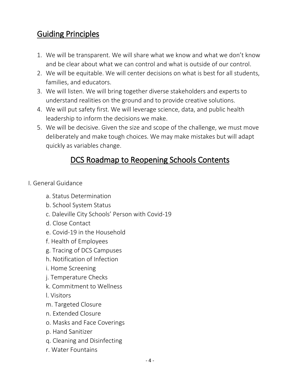# Guiding Principles

- 1. We will be transparent. We will share what we know and what we don't know and be clear about what we can control and what is outside of our control.
- 2. We will be equitable. We will center decisions on what is best for all students, families, and educators.
- 3. We will listen. We will bring together diverse stakeholders and experts to understand realities on the ground and to provide creative solutions.
- 4. We will put safety first. We will leverage science, data, and public health leadership to inform the decisions we make.
- 5. We will be decisive. Given the size and scope of the challenge, we must move deliberately and make tough choices. We may make mistakes but will adapt quickly as variables change.

# DCS Roadmap to Reopening Schools Contents

- I. General Guidance
	- a. Status Determination
	- b. School System Status
	- c. Daleville City Schools' Person with Covid-19
	- d. Close Contact
	- e. Covid-19 in the Household
	- f. Health of Employees
	- g. Tracing of DCS Campuses
	- h. Notification of Infection
	- i. Home Screening
	- j. Temperature Checks
	- k. Commitment to Wellness
	- l. Visitors
	- m. Targeted Closure
	- n. Extended Closure
	- o. Masks and Face Coverings
	- p. Hand Sanitizer
	- q. Cleaning and Disinfecting
	- r. Water Fountains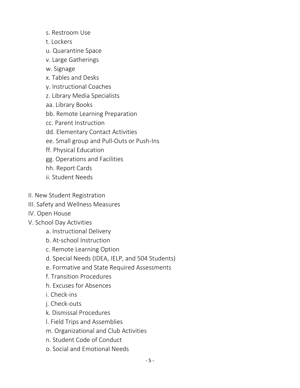- s. Restroom Use
- t. Lockers
- u. Quarantine Space
- v. Large Gatherings
- w. Signage
- x. Tables and Desks
- y. Instructional Coaches
- z. Library Media Specialists
- aa. Library Books
- bb. Remote Learning Preparation
- cc. Parent Instruction
- dd. Elementary Contact Activities
- ee. Small group and Pull-Outs or Push-Ins
- ff. Physical Education
- gg. Operations and Facilities
- hh. Report Cards
- ii. Student Needs
- II. New Student Registration
- III. Safety and Wellness Measures
- IV. Open House
- V. School Day Activities
	- a. Instructional Delivery
	- b. At-school Instruction
	- c. Remote Learning Option
	- d. Special Needs (IDEA, IELP, and 504 Students)
	- e. Formative and State Required Assessments
	- f. Transition Procedures
	- h. Excuses for Absences
	- i. Check-ins
	- j. Check-outs
	- k. Dismissal Procedures
	- l. Field Trips and Assemblies
	- m. Organizational and Club Activities
	- n. Student Code of Conduct
	- o. Social and Emotional Needs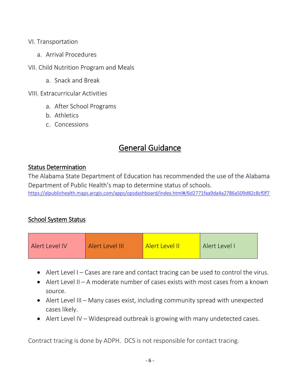#### VI. Transportation

- a. Arrival Procedures
- VII. Child Nutrition Program and Meals
	- a. Snack and Break

VIII. Extracurricular Activities

- a. After School Programs
- b. Athletics
- c. Concessions

# General Guidance

#### Status Determination

The Alabama State Department of Education has recommended the use of the Alabama Department of Public Health's map to determine status of schools. <https://alpublichealth.maps.arcgis.com/apps/opsdashboard/index.html#/6d2771faa9da4a2786a509d82c8cf0f7>

#### School System Status

| Alert Level IV | Alert Level III | Alert Level II | Alert Level I |
|----------------|-----------------|----------------|---------------|
|                |                 |                |               |

- Alert Level I Cases are rare and contact tracing can be used to control the virus.
- Alert Level II A moderate number of cases exists with most cases from a known source.
- Alert Level III Many cases exist, including community spread with unexpected cases likely.
- Alert Level IV Widespread outbreak is growing with many undetected cases.

Contract tracing is done by ADPH. DCS is not responsible for contact tracing.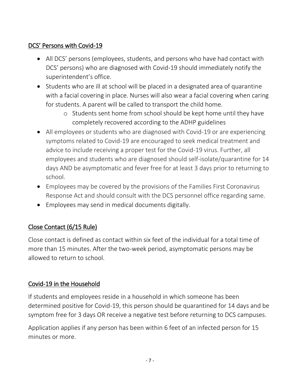#### DCS' Persons with Covid-19

- All DCS' persons (employees, students, and persons who have had contact with DCS' persons) who are diagnosed with Covid-19 should immediately notify the superintendent's office.
- Students who are ill at school will be placed in a designated area of quarantine with a facial covering in place. Nurses will also wear a facial covering when caring for students. A parent will be called to transport the child home.
	- o Students sent home from school should be kept home until they have completely recovered according to the ADHP guidelines
- All employees or students who are diagnosed with Covid-19 or are experiencing symptoms related to Covid-19 are encouraged to seek medical treatment and advice to include receiving a proper test for the Covid-19 virus. Further, all employees and students who are diagnosed should self-isolate/quarantine for 14 days AND be asymptomatic and fever free for at least 3 days prior to returning to school.
- Employees may be covered by the provisions of the Families First Coronavirus Response Act and should consult with the DCS personnel office regarding same.
- Employees may send in medical documents digitally.

#### Close Contact (6/15 Rule)

Close contact is defined as contact within six feet of the individual for a total time of more than 15 minutes. After the two-week period, asymptomatic persons may be allowed to return to school.

#### Covid-19 in the Household

If students and employees reside in a household in which someone has been determined positive for Covid-19, this person should be quarantined for 14 days and be symptom free for 3 days OR receive a negative test before returning to DCS campuses.

Application applies if any person has been within 6 feet of an infected person for 15 minutes or more.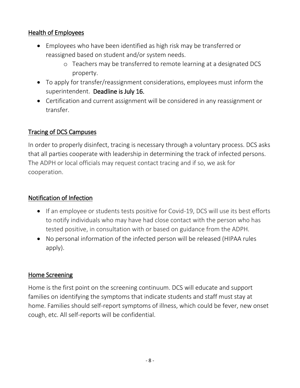#### Health of Employees

- Employees who have been identified as high risk may be transferred or reassigned based on student and/or system needs.
	- o Teachers may be transferred to remote learning at a designated DCS property.
- To apply for transfer/reassignment considerations, employees must inform the superintendent. Deadline is July 16.
- Certification and current assignment will be considered in any reassignment or transfer.

#### Tracing of DCS Campuses

In order to properly disinfect, tracing is necessary through a voluntary process. DCS asks that all parties cooperate with leadership in determining the track of infected persons. The ADPH or local officials may request contact tracing and if so, we ask for cooperation.

#### Notification of Infection

- If an employee or students tests positive for Covid-19, DCS will use its best efforts to notify individuals who may have had close contact with the person who has tested positive, in consultation with or based on guidance from the ADPH.
- No personal information of the infected person will be released (HIPAA rules apply).

#### Home Screening

Home is the first point on the screening continuum. DCS will educate and support families on identifying the symptoms that indicate students and staff must stay at home. Families should self-report symptoms of illness, which could be fever, new onset cough, etc. All self-reports will be confidential.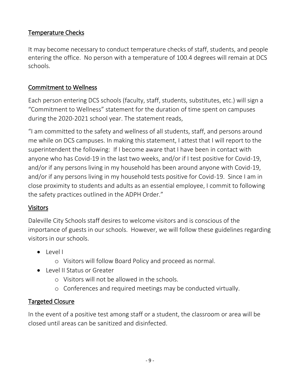#### Temperature Checks

It may become necessary to conduct temperature checks of staff, students, and people entering the office. No person with a temperature of 100.4 degrees will remain at DCS schools.

#### Commitment to Wellness

Each person entering DCS schools (faculty, staff, students, substitutes, etc.) will sign a "Commitment to Wellness" statement for the duration of time spent on campuses during the 2020-2021 school year. The statement reads,

"I am committed to the safety and wellness of all students, staff, and persons around me while on DCS campuses. In making this statement, I attest that I will report to the superintendent the following: If I become aware that I have been in contact with anyone who has Covid-19 in the last two weeks, and/or if I test positive for Covid-19, and/or if any persons living in my household has been around anyone with Covid-19, and/or if any persons living in my household tests positive for Covid-19. Since I am in close proximity to students and adults as an essential employee, I commit to following the safety practices outlined in the ADPH Order."

#### Visitors

Daleville City Schools staff desires to welcome visitors and is conscious of the importance of guests in our schools. However, we will follow these guidelines regarding visitors in our schools.

- Level I
	- o Visitors will follow Board Policy and proceed as normal.
- Level II Status or Greater
	- o Visitors will not be allowed in the schools.
	- o Conferences and required meetings may be conducted virtually.

#### Targeted Closure

In the event of a positive test among staff or a student, the classroom or area will be closed until areas can be sanitized and disinfected.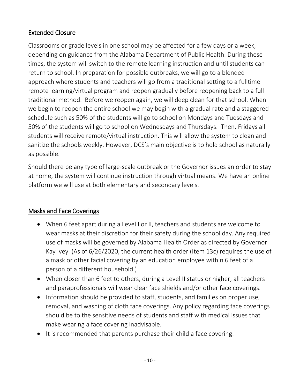#### Extended Closure

Classrooms or grade levels in one school may be affected for a few days or a week, depending on guidance from the Alabama Department of Public Health. During these times, the system will switch to the remote learning instruction and until students can return to school. In preparation for possible outbreaks, we will go to a blended approach where students and teachers will go from a traditional setting to a fulltime remote learning/virtual program and reopen gradually before reopening back to a full traditional method. Before we reopen again, we will deep clean for that school. When we begin to reopen the entire school we may begin with a gradual rate and a staggered schedule such as 50% of the students will go to school on Mondays and Tuesdays and 50% of the students will go to school on Wednesdays and Thursdays. Then, Fridays all students will receive remote/virtual instruction. This will allow the system to clean and sanitize the schools weekly. However, DCS's main objective is to hold school as naturally as possible.

Should there be any type of large-scale outbreak or the Governor issues an order to stay at home, the system will continue instruction through virtual means. We have an online platform we will use at both elementary and secondary levels.

#### Masks and Face Coverings

- When 6 feet apart during a Level I or II, teachers and students are welcome to wear masks at their discretion for their safety during the school day. Any required use of masks will be governed by Alabama Health Order as directed by Governor Kay Ivey. (As of 6/26/2020, the current health order (Item 13c) requires the use of a mask or other facial covering by an education employee within 6 feet of a person of a different household.)
- When closer than 6 feet to others, during a Level II status or higher, all teachers and paraprofessionals will wear clear face shields and/or other face coverings.
- Information should be provided to staff, students, and families on proper use, removal, and washing of cloth face coverings. Any policy regarding face coverings should be to the sensitive needs of students and staff with medical issues that make wearing a face covering inadvisable.
- It is recommended that parents purchase their child a face covering.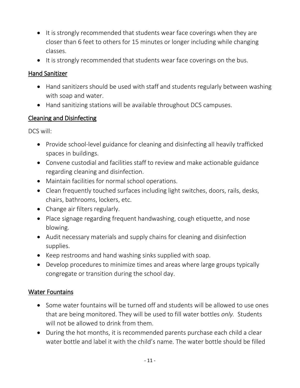- It is strongly recommended that students wear face coverings when they are closer than 6 feet to others for 15 minutes or longer including while changing classes.
- It is strongly recommended that students wear face coverings on the bus.

#### Hand Sanitizer

- Hand sanitizers should be used with staff and students regularly between washing with soap and water.
- Hand sanitizing stations will be available throughout DCS campuses.

#### Cleaning and Disinfecting

DCS will:

- Provide school-level guidance for cleaning and disinfecting all heavily trafficked spaces in buildings.
- Convene custodial and facilities staff to review and make actionable guidance regarding cleaning and disinfection.
- Maintain facilities for normal school operations.
- Clean frequently touched surfaces including light switches, doors, rails, desks, chairs, bathrooms, lockers, etc.
- Change air filters regularly.
- Place signage regarding frequent handwashing, cough etiquette, and nose blowing.
- Audit necessary materials and supply chains for cleaning and disinfection supplies.
- Keep restrooms and hand washing sinks supplied with soap.
- Develop procedures to minimize times and areas where large groups typically congregate or transition during the school day.

#### Water Fountains

- Some water fountains will be turned off and students will be allowed to use ones that are being monitored. They will be used to fill water bottles *only.* Students will not be allowed to drink from them.
- During the hot months, it is recommended parents purchase each child a clear water bottle and label it with the child's name. The water bottle should be filled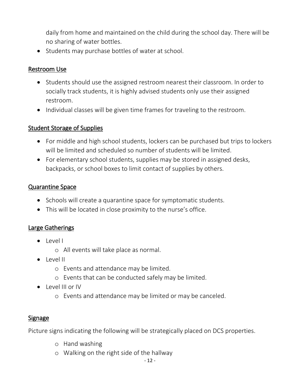daily from home and maintained on the child during the school day. There will be no sharing of water bottles.

• Students may purchase bottles of water at school.

#### Restroom Use

- Students should use the assigned restroom nearest their classroom. In order to socially track students, it is highly advised students only use their assigned restroom.
- Individual classes will be given time frames for traveling to the restroom.

#### Student Storage of Supplies

- For middle and high school students, lockers can be purchased but trips to lockers will be limited and scheduled so number of students will be limited.
- For elementary school students, supplies may be stored in assigned desks, backpacks, or school boxes to limit contact of supplies by others.

#### Quarantine Space

- Schools will create a quarantine space for symptomatic students.
- This will be located in close proximity to the nurse's office.

#### Large Gatherings

- Level I
	- o All events will take place as normal.
- $\bullet$  Level II
	- o Events and attendance may be limited.
	- o Events that can be conducted safely may be limited.
- Level III or IV
	- o Events and attendance may be limited or may be canceled.

#### Signage

Picture signs indicating the following will be strategically placed on DCS properties.

- o Hand washing
- o Walking on the right side of the hallway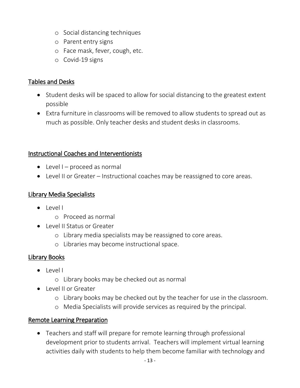- o Social distancing techniques
- o Parent entry signs
- o Face mask, fever, cough, etc.
- o Covid-19 signs

#### Tables and Desks

- Student desks will be spaced to allow for social distancing to the greatest extent possible
- Extra furniture in classrooms will be removed to allow students to spread out as much as possible. Only teacher desks and student desks in classrooms.

#### Instructional Coaches and Interventionists

- $\bullet$  Level I proceed as normal
- Level II or Greater Instructional coaches may be reassigned to core areas.

#### Library Media Specialists

- $\bullet$  level I
	- o Proceed as normal
- Level II Status or Greater
	- o Library media specialists may be reassigned to core areas.
	- o Libraries may become instructional space.

#### Library Books

- $\bullet$  Levell
	- o Library books may be checked out as normal
- Level II or Greater
	- o Library books may be checked out by the teacher for use in the classroom.
	- o Media Specialists will provide services as required by the principal.

#### Remote Learning Preparation

 Teachers and staff will prepare for remote learning through professional development prior to students arrival. Teachers will implement virtual learning activities daily with students to help them become familiar with technology and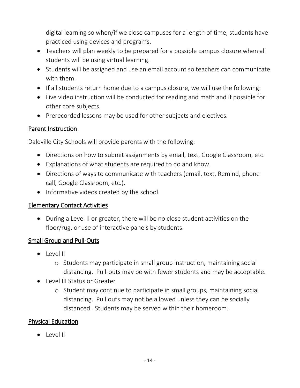digital learning so when/if we close campuses for a length of time, students have practiced using devices and programs.

- Teachers will plan weekly to be prepared for a possible campus closure when all students will be using virtual learning.
- Students will be assigned and use an email account so teachers can communicate with them.
- If all students return home due to a campus closure, we will use the following:
- Live video instruction will be conducted for reading and math and if possible for other core subjects.
- Prerecorded lessons may be used for other subjects and electives.

#### Parent Instruction

Daleville City Schools will provide parents with the following:

- Directions on how to submit assignments by email, text, Google Classroom, etc.
- Explanations of what students are required to do and know.
- Directions of ways to communicate with teachers (email, text, Remind, phone call, Google Classroom, etc.).
- Informative videos created by the school.

#### Elementary Contact Activities

 During a Level II or greater, there will be no close student activities on the floor/rug, or use of interactive panels by students.

#### Small Group and Pull-Outs

- Level II
	- o Students may participate in small group instruction, maintaining social distancing. Pull-outs may be with fewer students and may be acceptable.
- Level III Status or Greater
	- o Student may continue to participate in small groups, maintaining social distancing. Pull outs may not be allowed unless they can be socially distanced. Students may be served within their homeroom.

#### Physical Education

 $\bullet$  Level II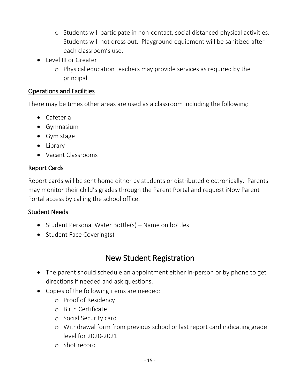- o Students will participate in non-contact, social distanced physical activities. Students will not dress out. Playground equipment will be sanitized after each classroom's use.
- Level III or Greater
	- o Physical education teachers may provide services as required by the principal.

#### Operations and Facilities

There may be times other areas are used as a classroom including the following:

- Cafeteria
- Gymnasium
- Gym stage
- Library
- Vacant Classrooms

#### Report Cards

Report cards will be sent home either by students or distributed electronically. Parents may monitor their child's grades through the Parent Portal and request iNow Parent Portal access by calling the school office.

#### Student Needs

- Student Personal Water Bottle(s) Name on bottles
- $\bullet$  Student Face Covering(s)

# New Student Registration

- The parent should schedule an appointment either in-person or by phone to get directions if needed and ask questions.
- Copies of the following items are needed:
	- o Proof of Residency
	- o Birth Certificate
	- o Social Security card
	- o Withdrawal form from previous school or last report card indicating grade level for 2020-2021
	- o Shot record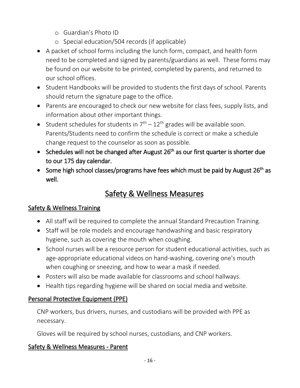- o Guardian's Photo ID
- o Special education/504 records (if applicable)
- A packet of school forms including the lunch form, compact, and health form need to be completed and signed by parents/guardians as well. These forms may be found on our website to be printed, completed by parents, and returned to our school offices.
- Student Handbooks will be provided to students the first days of school. Parents should return the signature page to the office.
- Parents are encouraged to check our new website for class fees, supply lists, and information about other important things.
- Student schedules for students in  $7<sup>th</sup> 12<sup>th</sup>$  grades will be available soon. Parents/Students need to confirm the schedule is correct or make a schedule change request to the counselor as soon as possible.
- Schedules will not be changed after August  $26<sup>th</sup>$  as our first quarter is shorter due to our 175 day calendar.
- Some high school classes/programs have fees which must be paid by August 26<sup>th</sup> as well.

# Safety & Wellness Measures

#### Safety & Wellness Training

- All staff will be required to complete the annual Standard Precaution Training.
- Staff will be role models and encourage handwashing and basic respiratory hygiene, such as covering the mouth when coughing.
- School nurses will be a resource person for student educational activities, such as age-appropriate educational videos on hand-washing, covering one's mouth when coughing or sneezing, and how to wear a mask if needed.
- Posters will also be made available for classrooms and school hallways.
- Health tips regarding hygiene will be shared on social media and website.

#### Personal Protective Equipment (PPE)

CNP workers, bus drivers, nurses, and custodians will be provided with PPE as necessary.

Gloves will be required by school nurses, custodians, and CNP workers.

#### Safety & Wellness Measures - Parent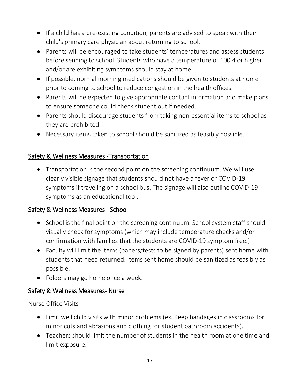- If a child has a pre-existing condition, parents are advised to speak with their child's primary care physician about returning to school.
- Parents will be encouraged to take students' temperatures and assess students before sending to school. Students who have a temperature of 100.4 or higher and/or are exhibiting symptoms should stay at home.
- If possible, normal morning medications should be given to students at home prior to coming to school to reduce congestion in the health offices.
- Parents will be expected to give appropriate contact information and make plans to ensure someone could check student out if needed.
- Parents should discourage students from taking non-essential items to school as they are prohibited.
- Necessary items taken to school should be sanitized as feasibly possible.

#### Safety & Wellness Measures -Transportation

 Transportation is the second point on the screening continuum. We will use clearly visible signage that students should not have a fever or COVID-19 symptoms if traveling on a school bus. The signage will also outline COVID-19 symptoms as an educational tool.

#### Safety & Wellness Measures - School

- School is the final point on the screening continuum. School system staff should visually check for symptoms (which may include temperature checks and/or confirmation with families that the students are COVID-19 symptom free.)
- Faculty will limit the items (papers/tests to be signed by parents) sent home with students that need returned. Items sent home should be sanitized as feasibly as possible.
- Folders may go home once a week.

#### Safety & Wellness Measures- Nurse

Nurse Office Visits

- Limit well child visits with minor problems (ex. Keep bandages in classrooms for minor cuts and abrasions and clothing for student bathroom accidents).
- Teachers should limit the number of students in the health room at one time and limit exposure.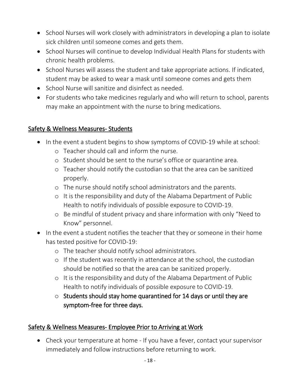- School Nurses will work closely with administrators in developing a plan to isolate sick children until someone comes and gets them.
- School Nurses will continue to develop Individual Health Plans for students with chronic health problems.
- School Nurses will assess the student and take appropriate actions. If indicated, student may be asked to wear a mask until someone comes and gets them
- School Nurse will sanitize and disinfect as needed.
- For students who take medicines regularly and who will return to school, parents may make an appointment with the nurse to bring medications.

#### Safety & Wellness Measures- Students

- In the event a student begins to show symptoms of COVID-19 while at school:
	- o Teacher should call and inform the nurse.
	- o Student should be sent to the nurse's office or quarantine area.
	- o Teacher should notify the custodian so that the area can be sanitized properly.
	- o The nurse should notify school administrators and the parents.
	- o It is the responsibility and duty of the Alabama Department of Public Health to notify individuals of possible exposure to COVID-19.
	- o Be mindful of student privacy and share information with only "Need to Know" personnel.
- In the event a student notifies the teacher that they or someone in their home has tested positive for COVID-19:
	- o The teacher should notify school administrators.
	- o If the student was recently in attendance at the school, the custodian should be notified so that the area can be sanitized properly.
	- o It is the responsibility and duty of the Alabama Department of Public Health to notify individuals of possible exposure to COVID-19.
	- $\circ$  Students should stay home quarantined for 14 days or until they are symptom-free for three days.

#### Safety & Wellness Measures- Employee Prior to Arriving at Work

 Check your temperature at home - If you have a fever, contact your supervisor immediately and follow instructions before returning to work.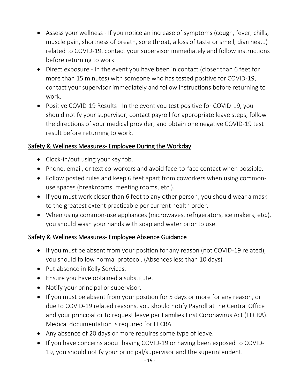- Assess your wellness If you notice an increase of symptoms (cough, fever, chills, muscle pain, shortness of breath, sore throat, a loss of taste or smell, diarrhea...) related to COVID-19, contact your supervisor immediately and follow instructions before returning to work.
- Direct exposure In the event you have been in contact (closer than 6 feet for more than 15 minutes) with someone who has tested positive for COVID-19, contact your supervisor immediately and follow instructions before returning to work.
- Positive COVID-19 Results In the event you test positive for COVID-19, you should notify your supervisor, contact payroll for appropriate leave steps, follow the directions of your medical provider, and obtain one negative COVID-19 test result before returning to work.

#### Safety & Wellness Measures- Employee During the Workday

- Clock-in/out using your key fob.
- Phone, email, or text co-workers and avoid face-to-face contact when possible.
- Follow posted rules and keep 6 feet apart from coworkers when using commonuse spaces (breakrooms, meeting rooms, etc.).
- If you must work closer than 6 feet to any other person, you should wear a mask to the greatest extent practicable per current health order.
- When using common-use appliances (microwaves, refrigerators, ice makers, etc.), you should wash your hands with soap and water prior to use.

#### Safety & Wellness Measures- Employee Absence Guidance

- If you must be absent from your position for any reason (not COVID-19 related), you should follow normal protocol. (Absences less than 10 days)
- Put absence in Kelly Services.
- Ensure you have obtained a substitute.
- Notify your principal or supervisor.
- If you must be absent from your position for 5 days or more for any reason, or due to COVID-19 related reasons, you should notify Payroll at the Central Office and your principal or to request leave per Families First Coronavirus Act (FFCRA). Medical documentation is required for FFCRA.
- Any absence of 20 days or more requires some type of leave.
- If you have concerns about having COVID-19 or having been exposed to COVID-19, you should notify your principal/supervisor and the superintendent.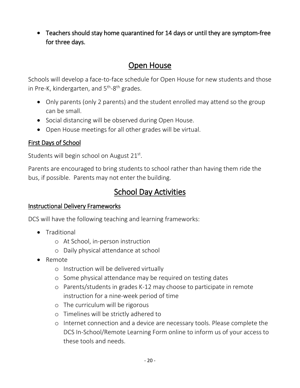Teachers should stay home quarantined for 14 days or until they are symptom-free for three days.

## Open House

Schools will develop a face-to-face schedule for Open House for new students and those in Pre-K, kindergarten, and 5<sup>th</sup>-8<sup>th</sup> grades.

- Only parents (only 2 parents) and the student enrolled may attend so the group can be small.
- Social distancing will be observed during Open House.
- Open House meetings for all other grades will be virtual.

#### First Days of School

Students will begin school on August 21st.

Parents are encouraged to bring students to school rather than having them ride the bus, if possible. Parents may not enter the building.

# School Day Activities

#### Instructional Delivery Frameworks

DCS will have the following teaching and learning frameworks:

- **•** Traditional
	- o At School, in-person instruction
	- o Daily physical attendance at school
- Remote
	- o Instruction will be delivered virtually
	- o Some physical attendance may be required on testing dates
	- o Parents/students in grades K-12 may choose to participate in remote instruction for a nine-week period of time
	- o The curriculum will be rigorous
	- o Timelines will be strictly adhered to
	- o Internet connection and a device are necessary tools. Please complete the DCS In-School/Remote Learning Form online to inform us of your access to these tools and needs.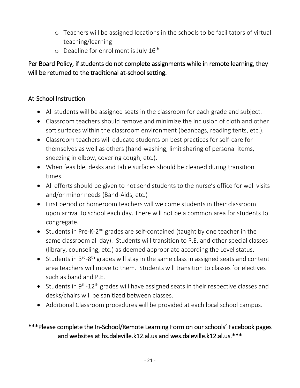- o Teachers will be assigned locations in the schools to be facilitators of virtual teaching/learning
- o Deadline for enrollment is July 16<sup>th</sup>

Per Board Policy, if students do not complete assignments while in remote learning, they will be returned to the traditional at-school setting.

#### At-School Instruction

- All students will be assigned seats in the classroom for each grade and subject.
- Classroom teachers should remove and minimize the inclusion of cloth and other soft surfaces within the classroom environment (beanbags, reading tents, etc.).
- Classroom teachers will educate students on best practices for self-care for themselves as well as others (hand-washing, limit sharing of personal items, sneezing in elbow, covering cough, etc.).
- When feasible, desks and table surfaces should be cleaned during transition times.
- All efforts should be given to not send students to the nurse's office for well visits and/or minor needs (Band-Aids, etc.)
- First period or homeroom teachers will welcome students in their classroom upon arrival to school each day. There will not be a common area for students to congregate.
- Students in Pre-K-2<sup>nd</sup> grades are self-contained (taught by one teacher in the same classroom all day). Students will transition to P.E. and other special classes (library, counseling, etc.) as deemed appropriate according the Level status.
- Students in  $3^{rd}$ - $8^{th}$  grades will stay in the same class in assigned seats and content area teachers will move to them. Students will transition to classes for electives such as band and P.E.
- $\bullet$  Students in 9<sup>th</sup>-12<sup>th</sup> grades will have assigned seats in their respective classes and desks/chairs will be sanitized between classes.
- Additional Classroom procedures will be provided at each local school campus.

#### \*\*\*Please complete the In-School/Remote Learning Form on our schools' Facebook pages and websites at hs.daleville.k12.al.us and wes.daleville.k12.al.us.\*\*\*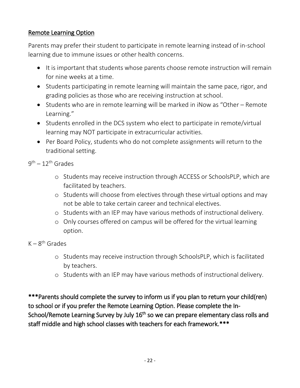#### Remote Learning Option

Parents may prefer their student to participate in remote learning instead of in-school learning due to immune issues or other health concerns.

- It is important that students whose parents choose remote instruction will remain for nine weeks at a time.
- Students participating in remote learning will maintain the same pace, rigor, and grading policies as those who are receiving instruction at school.
- Students who are in remote learning will be marked in iNow as "Other Remote Learning."
- Students enrolled in the DCS system who elect to participate in remote/virtual learning may NOT participate in extracurricular activities.
- Per Board Policy, students who do not complete assignments will return to the traditional setting.

#### 9<sup>th</sup> — 12<sup>th</sup> Grades

- o Students may receive instruction through ACCESS or SchoolsPLP, which are facilitated by teachers.
- o Students will choose from electives through these virtual options and may not be able to take certain career and technical electives.
- o Students with an IEP may have various methods of instructional delivery.
- o Only courses offered on campus will be offered for the virtual learning option.

#### K – 8<sup>th</sup> Grades

- o Students may receive instruction through SchoolsPLP, which is facilitated by teachers.
- o Students with an IEP may have various methods of instructional delivery.

\*\*\*Parents should complete the survey to inform us if you plan to return your child(ren) to school or if you prefer the Remote Learning Option. Please complete the In-School/Remote Learning Survey by July 16<sup>th</sup> so we can prepare elementary class rolls and staff middle and high school classes with teachers for each framework.\*\*\*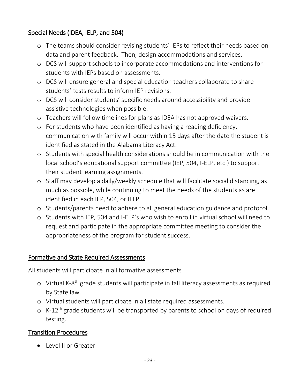#### Special Needs (IDEA, IELP, and 504)

- o The teams should consider revising students' IEPs to reflect their needs based on data and parent feedback. Then, design accommodations and services.
- o DCS will support schools to incorporate accommodations and interventions for students with IEPs based on assessments.
- o DCS will ensure general and special education teachers collaborate to share students' tests results to inform IEP revisions.
- o DCS will consider students' specific needs around accessibility and provide assistive technologies when possible.
- o Teachers will follow timelines for plans as IDEA has not approved waivers.
- o For students who have been identified as having a reading deficiency, communication with family will occur within 15 days after the date the student is identified as stated in the Alabama Literacy Act.
- o Students with special health considerations should be in communication with the local school's educational support committee (IEP, 504, I-ELP, etc.) to support their student learning assignments.
- o Staff may develop a daily/weekly schedule that will facilitate social distancing, as much as possible, while continuing to meet the needs of the students as are identified in each IEP, 504, or IELP.
- o Students/parents need to adhere to all general education guidance and protocol.
- o Students with IEP, 504 and I-ELP's who wish to enroll in virtual school will need to request and participate in the appropriate committee meeting to consider the appropriateness of the program for student success.

#### Formative and State Required Assessments

All students will participate in all formative assessments

- o Virtual K-8<sup>th</sup> grade students will participate in fall literacy assessments as required by State law.
- o Virtual students will participate in all state required assessments.
- $\circ$  K-12<sup>th</sup> grade students will be transported by parents to school on days of required testing.

#### Transition Procedures

Level II or Greater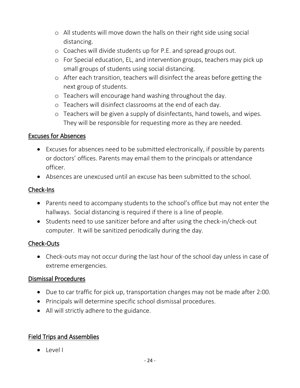- o All students will move down the halls on their right side using social distancing.
- o Coaches will divide students up for P.E. and spread groups out.
- o For Special education, EL, and intervention groups, teachers may pick up small groups of students using social distancing.
- o After each transition, teachers will disinfect the areas before getting the next group of students.
- o Teachers will encourage hand washing throughout the day.
- o Teachers will disinfect classrooms at the end of each day.
- o Teachers will be given a supply of disinfectants, hand towels, and wipes. They will be responsible for requesting more as they are needed.

#### Excuses for Absences

- Excuses for absences need to be submitted electronically, if possible by parents or doctors' offices. Parents may email them to the principals or attendance officer.
- Absences are unexcused until an excuse has been submitted to the school.

#### Check-Ins

- Parents need to accompany students to the school's office but may not enter the hallways. Social distancing is required if there is a line of people.
- Students need to use sanitizer before and after using the check-in/check-out computer. It will be sanitized periodically during the day.

#### Check-Outs

 Check-outs may not occur during the last hour of the school day unless in case of extreme emergencies.

#### Dismissal Procedures

- Due to car traffic for pick up, transportation changes may not be made after 2:00.
- Principals will determine specific school dismissal procedures.
- All will strictly adhere to the guidance.

#### Field Trips and Assemblies

• Level I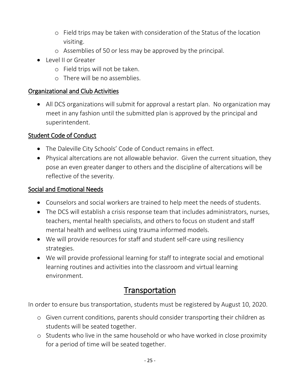- o Field trips may be taken with consideration of the Status of the location visiting.
- o Assemblies of 50 or less may be approved by the principal.
- Level II or Greater
	- o Field trips will not be taken.
	- o There will be no assemblies.

#### Organizational and Club Activities

 All DCS organizations will submit for approval a restart plan. No organization may meet in any fashion until the submitted plan is approved by the principal and superintendent.

#### Student Code of Conduct

- The Daleville City Schools' Code of Conduct remains in effect.
- Physical altercations are not allowable behavior. Given the current situation, they pose an even greater danger to others and the discipline of altercations will be reflective of the severity.

#### Social and Emotional Needs

- Counselors and social workers are trained to help meet the needs of students.
- The DCS will establish a crisis response team that includes administrators, nurses, teachers, mental health specialists, and others to focus on student and staff mental health and wellness using trauma informed models.
- We will provide resources for staff and student self-care using resiliency strategies.
- We will provide professional learning for staff to integrate social and emotional learning routines and activities into the classroom and virtual learning environment.

# **Transportation**

In order to ensure bus transportation, students must be registered by August 10, 2020.

- o Given current conditions, parents should consider transporting their children as students will be seated together.
- o Students who live in the same household or who have worked in close proximity for a period of time will be seated together.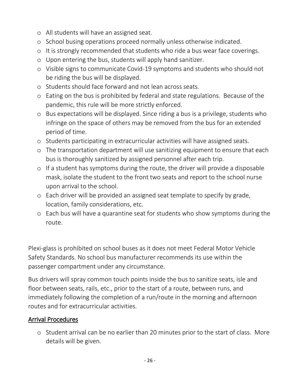- o All students will have an assigned seat.
- o School busing operations proceed normally unless otherwise indicated.
- o It is strongly recommended that students who ride a bus wear face coverings.
- o Upon entering the bus, students will apply hand sanitizer.
- o Visible signs to communicate Covid-19 symptoms and students who should not be riding the bus will be displayed.
- o Students should face forward and not lean across seats.
- o Eating on the bus is prohibited by federal and state regulations. Because of the pandemic, this rule will be more strictly enforced.
- o Bus expectations will be displayed. Since riding a bus is a privilege, students who infringe on the space of others may be removed from the bus for an extended period of time.
- o Students participating in extracurricular activities will have assigned seats.
- o The transportation department will use sanitizing equipment to ensure that each bus is thoroughly sanitized by assigned personnel after each trip.
- o If a student has symptoms during the route, the driver will provide a disposable mask, isolate the student to the front two seats and report to the school nurse upon arrival to the school.
- o Each driver will be provided an assigned seat template to specify by grade, location, family considerations, etc.
- o Each bus will have a quarantine seat for students who show symptoms during the route.

Plexi-glass is prohibited on school buses as it does not meet Federal Motor Vehicle Safety Standards. No school bus manufacturer recommends its use within the passenger compartment under any circumstance.

Bus drivers will spray common touch points inside the bus to sanitize seats, isle and floor between seats, rails, etc., prior to the start of a route, between runs, and immediately following the completion of a run/route in the morning and afternoon routes and for extracurricular activities.

#### Arrival Procedures

o Student arrival can be no earlier than 20 minutes prior to the start of class. More details will be given.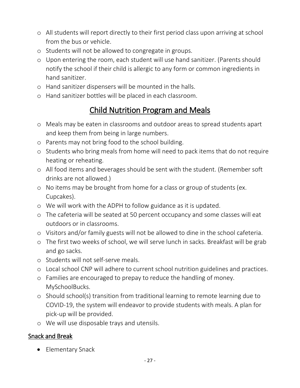- o All students will report directly to their first period class upon arriving at school from the bus or vehicle.
- o Students will not be allowed to congregate in groups.
- o Upon entering the room, each student will use hand sanitizer. (Parents should notify the school if their child is allergic to any form or common ingredients in hand sanitizer.
- o Hand sanitizer dispensers will be mounted in the halls.
- o Hand sanitizer bottles will be placed in each classroom.

# Child Nutrition Program and Meals

- o Meals may be eaten in classrooms and outdoor areas to spread students apart and keep them from being in large numbers.
- o Parents may not bring food to the school building.
- o Students who bring meals from home will need to pack items that do not require heating or reheating.
- o All food items and beverages should be sent with the student. (Remember soft drinks are not allowed.)
- o No items may be brought from home for a class or group of students (ex. Cupcakes).
- o We will work with the ADPH to follow guidance as it is updated.
- o The cafeteria will be seated at 50 percent occupancy and some classes will eat outdoors or in classrooms.
- o Visitors and/or family guests will not be allowed to dine in the school cafeteria.
- o The first two weeks of school, we will serve lunch in sacks. Breakfast will be grab and go sacks.
- o Students will not self-serve meals.
- o Local school CNP will adhere to current school nutrition guidelines and practices.
- o Families are encouraged to prepay to reduce the handling of money. MySchoolBucks.
- o Should school(s) transition from traditional learning to remote learning due to COVID-19, the system will endeavor to provide students with meals. A plan for pick-up will be provided.
- o We will use disposable trays and utensils.

#### Snack and Break

• Elementary Snack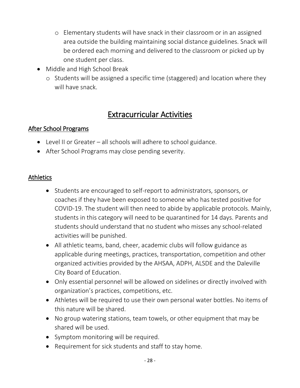- o Elementary students will have snack in their classroom or in an assigned area outside the building maintaining social distance guidelines. Snack will be ordered each morning and delivered to the classroom or picked up by one student per class.
- Middle and High School Break
	- o Students will be assigned a specific time (staggered) and location where they will have snack.

# Extracurricular Activities

#### After School Programs

- Level II or Greater all schools will adhere to school guidance.
- After School Programs may close pending severity.

#### Athletics

- Students are encouraged to self-report to administrators, sponsors, or coaches if they have been exposed to someone who has tested positive for COVID-19. The student will then need to abide by applicable protocols. Mainly, students in this category will need to be quarantined for 14 days. Parents and students should understand that no student who misses any school-related activities will be punished.
- All athletic teams, band, cheer, academic clubs will follow guidance as applicable during meetings, practices, transportation, competition and other organized activities provided by the AHSAA, ADPH, ALSDE and the Daleville City Board of Education.
- Only essential personnel will be allowed on sidelines or directly involved with organization's practices, competitions, etc.
- Athletes will be required to use their own personal water bottles. No items of this nature will be shared.
- No group watering stations, team towels, or other equipment that may be shared will be used.
- Symptom monitoring will be required.
- Requirement for sick students and staff to stay home.